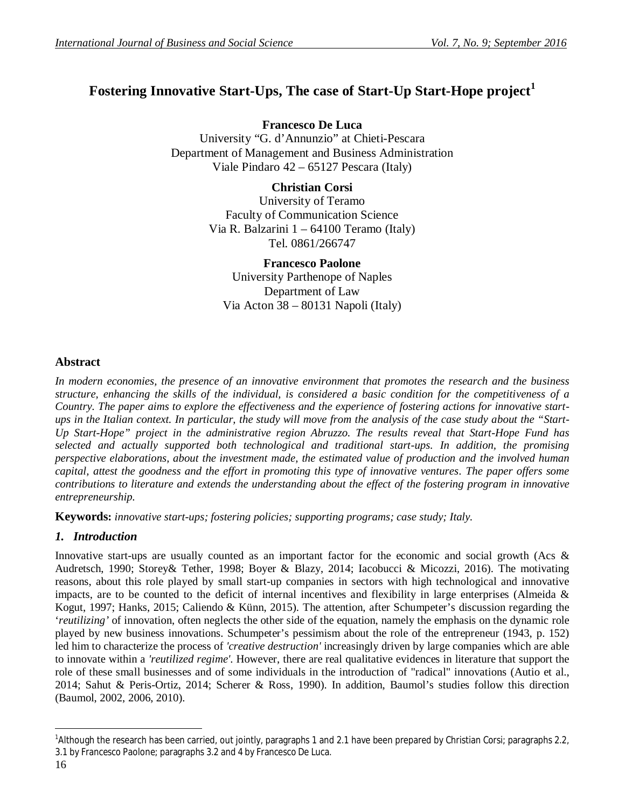# **Fostering Innovative Start-Ups, The case of Start-Up Start-Hope project<sup>1</sup>**

**Francesco De Luca** University "G. d'Annunzio" at Chieti-Pescara Department of Management and Business Administration Viale Pindaro 42 – 65127 Pescara (Italy)

**Christian Corsi**

University of Teramo Faculty of Communication Science Via R. Balzarini 1 – 64100 Teramo (Italy) Tel. 0861/266747

**Francesco Paolone**

University Parthenope of Naples Department of Law Via Acton 38 – 80131 Napoli (Italy)

## **Abstract**

*In modern economies, the presence of an innovative environment that promotes the research and the business structure, enhancing the skills of the individual, is considered a basic condition for the competitiveness of a Country. The paper aims to explore the effectiveness and the experience of fostering actions for innovative startups in the Italian context. In particular, the study will move from the analysis of the case study about the "Start-Up Start-Hope" project in the administrative region Abruzzo. The results reveal that Start-Hope Fund has selected and actually supported both technological and traditional start-ups. In addition, the promising perspective elaborations, about the investment made, the estimated value of production and the involved human capital, attest the goodness and the effort in promoting this type of innovative ventures. The paper offers some contributions to literature and extends the understanding about the effect of the fostering program in innovative entrepreneurship.*

**Keywords:** *innovative start-ups; fostering policies; supporting programs; case study; Italy.*

## *1. Introduction*

Innovative start-ups are usually counted as an important factor for the economic and social growth (Acs & Audretsch, 1990; Storey& Tether, 1998; Boyer & Blazy, 2014; Iacobucci & Micozzi, 2016). The motivating reasons, about this role played by small start-up companies in sectors with high technological and innovative impacts, are to be counted to the deficit of internal incentives and flexibility in large enterprises (Almeida  $\&$ Kogut, 1997; Hanks, 2015; Caliendo & Künn, 2015). The attention, after Schumpeter's discussion regarding the '*reutilizing'* of innovation, often neglects the other side of the equation, namely the emphasis on the dynamic role played by new business innovations. Schumpeter's pessimism about the role of the entrepreneur (1943, p. 152) led him to characterize the process of *'creative destruction'* increasingly driven by large companies which are able to innovate within a *'reutilized regime'*. However, there are real qualitative evidences in literature that support the role of these small businesses and of some individuals in the introduction of "radical" innovations (Autio et al., 2014; Sahut & Peris-Ortiz, 2014; Scherer & Ross, 1990). In addition, Baumol's studies follow this direction (Baumol, 2002, 2006, 2010).

 $\overline{a}$ <sup>1</sup>Although the research has been carried, out jointly, paragraphs 1 and 2.1 have been prepared by Christian Corsi; paragraphs 2.2, 3.1 by Francesco Paolone; paragraphs 3.2 and 4 by Francesco De Luca.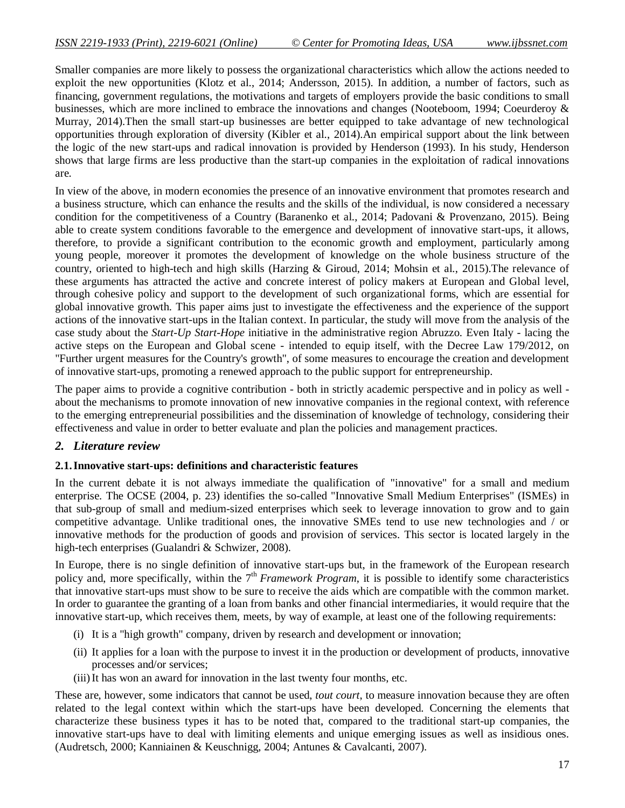Smaller companies are more likely to possess the organizational characteristics which allow the actions needed to exploit the new opportunities (Klotz et al., 2014; Andersson, 2015). In addition, a number of factors, such as financing, government regulations, the motivations and targets of employers provide the basic conditions to small businesses, which are more inclined to embrace the innovations and changes (Nooteboom, 1994; Coeurderoy & Murray, 2014).Then the small start-up businesses are better equipped to take advantage of new technological opportunities through exploration of diversity (Kibler et al., 2014).An empirical support about the link between the logic of the new start-ups and radical innovation is provided by Henderson (1993). In his study, Henderson shows that large firms are less productive than the start-up companies in the exploitation of radical innovations are.

In view of the above, in modern economies the presence of an innovative environment that promotes research and a business structure, which can enhance the results and the skills of the individual, is now considered a necessary condition for the competitiveness of a Country (Baranenko et al., 2014; Padovani & Provenzano, 2015). Being able to create system conditions favorable to the emergence and development of innovative start-ups, it allows, therefore, to provide a significant contribution to the economic growth and employment, particularly among young people, moreover it promotes the development of knowledge on the whole business structure of the country, oriented to high-tech and high skills (Harzing & Giroud, 2014; Mohsin et al., 2015).The relevance of these arguments has attracted the active and concrete interest of policy makers at European and Global level, through cohesive policy and support to the development of such organizational forms, which are essential for global innovative growth. This paper aims just to investigate the effectiveness and the experience of the support actions of the innovative start-ups in the Italian context. In particular, the study will move from the analysis of the case study about the *Start-Up Start-Hope* initiative in the administrative region Abruzzo. Even Italy - lacing the active steps on the European and Global scene - intended to equip itself, with the Decree Law 179/2012, on "Further urgent measures for the Country's growth", of some measures to encourage the creation and development of innovative start-ups, promoting a renewed approach to the public support for entrepreneurship.

The paper aims to provide a cognitive contribution - both in strictly academic perspective and in policy as well about the mechanisms to promote innovation of new innovative companies in the regional context, with reference to the emerging entrepreneurial possibilities and the dissemination of knowledge of technology, considering their effectiveness and value in order to better evaluate and plan the policies and management practices.

## *2. Literature review*

#### **2.1.Innovative start-ups: definitions and characteristic features**

In the current debate it is not always immediate the qualification of "innovative" for a small and medium enterprise. The OCSE (2004, p. 23) identifies the so-called "Innovative Small Medium Enterprises" (ISMEs) in that sub-group of small and medium-sized enterprises which seek to leverage innovation to grow and to gain competitive advantage. Unlike traditional ones, the innovative SMEs tend to use new technologies and / or innovative methods for the production of goods and provision of services. This sector is located largely in the high-tech enterprises (Gualandri & Schwizer, 2008).

In Europe, there is no single definition of innovative start-ups but, in the framework of the European research policy and, more specifically, within the  $7<sup>th</sup>$  *Framework Program*, it is possible to identify some characteristics that innovative start-ups must show to be sure to receive the aids which are compatible with the common market. In order to guarantee the granting of a loan from banks and other financial intermediaries, it would require that the innovative start-up, which receives them, meets, by way of example, at least one of the following requirements:

- (i) It is a "high growth" company, driven by research and development or innovation;
- (ii) It applies for a loan with the purpose to invest it in the production or development of products, innovative processes and/or services;
- (iii)It has won an award for innovation in the last twenty four months, etc.

These are, however, some indicators that cannot be used, *tout court*, to measure innovation because they are often related to the legal context within which the start-ups have been developed. Concerning the elements that characterize these business types it has to be noted that, compared to the traditional start-up companies, the innovative start-ups have to deal with limiting elements and unique emerging issues as well as insidious ones. (Audretsch, 2000; Kanniainen & Keuschnigg, 2004; Antunes & Cavalcanti, 2007).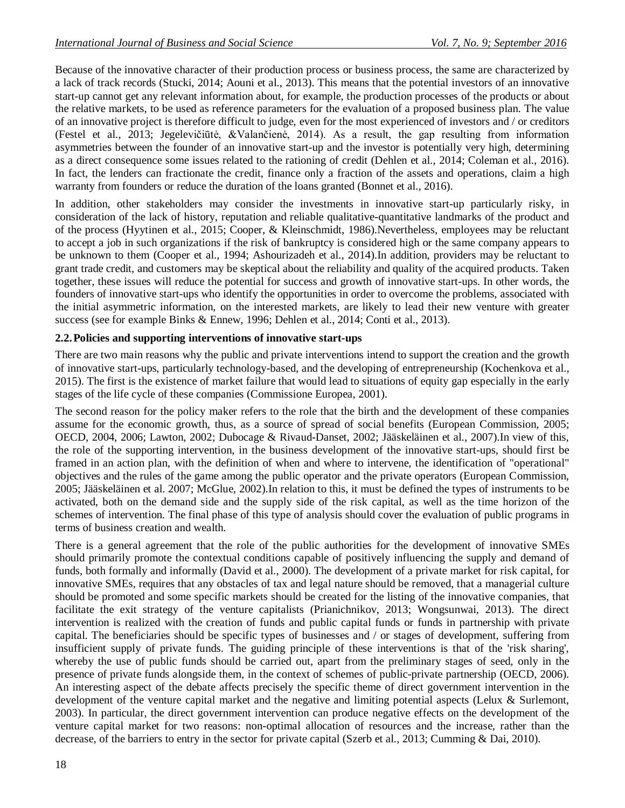Because of the innovative character of their production process or business process, the same are characterized by a lack of track records (Stucki, 2014; Aouni et al., 2013). This means that the potential investors of an innovative start-up cannot get any relevant information about, for example, the production processes of the products or about the relative markets, to be used as reference parameters for the evaluation of a proposed business plan. The value of an innovative project is therefore difficult to judge, even for the most experienced of investors and / or creditors (Festel et al., 2013; Jegelevičiūtė, &Valančienė, 2014). As a result, the gap resulting from information asymmetries between the founder of an innovative start-up and the investor is potentially very high, determining as a direct consequence some issues related to the rationing of credit (Dehlen et al., 2014; Coleman et al., 2016). In fact, the lenders can fractionate the credit, finance only a fraction of the assets and operations, claim a high warranty from founders or reduce the duration of the loans granted (Bonnet et al., 2016).

In addition, other stakeholders may consider the investments in innovative start-up particularly risky, in consideration of the lack of history, reputation and reliable qualitative-quantitative landmarks of the product and of the process (Hyytinen et al., 2015; Cooper, & Kleinschmidt, 1986).Nevertheless, employees may be reluctant to accept a job in such organizations if the risk of bankruptcy is considered high or the same company appears to be unknown to them (Cooper et al., 1994; Ashourizadeh et al., 2014).In addition, providers may be reluctant to grant trade credit, and customers may be skeptical about the reliability and quality of the acquired products. Taken together, these issues will reduce the potential for success and growth of innovative start-ups. In other words, the founders of innovative start-ups who identify the opportunities in order to overcome the problems, associated with the initial asymmetric information, on the interested markets, are likely to lead their new venture with greater success (see for example Binks & Ennew, 1996; Dehlen et al., 2014; Conti et al., 2013).

## **2.2.Policies and supporting interventions of innovative start-ups**

There are two main reasons why the public and private interventions intend to support the creation and the growth of innovative start-ups, particularly technology-based, and the developing of entrepreneurship (Kochenkova et al., 2015). The first is the existence of market failure that would lead to situations of equity gap especially in the early stages of the life cycle of these companies (Commissione Europea, 2001).

The second reason for the policy maker refers to the role that the birth and the development of these companies assume for the economic growth, thus, as a source of spread of social benefits (European Commission, 2005; OECD, 2004, 2006; Lawton, 2002; Dubocage & Rivaud-Danset, 2002; Jääskeläinen et al., 2007).In view of this, the role of the supporting intervention, in the business development of the innovative start-ups, should first be framed in an action plan, with the definition of when and where to intervene, the identification of "operational" objectives and the rules of the game among the public operator and the private operators (European Commission, 2005; Jääskeläinen et al. 2007; McGlue, 2002).In relation to this, it must be defined the types of instruments to be activated, both on the demand side and the supply side of the risk capital, as well as the time horizon of the schemes of intervention. The final phase of this type of analysis should cover the evaluation of public programs in terms of business creation and wealth.

There is a general agreement that the role of the public authorities for the development of innovative SMEs should primarily promote the contextual conditions capable of positively influencing the supply and demand of funds, both formally and informally (David et al., 2000). The development of a private market for risk capital, for innovative SMEs, requires that any obstacles of tax and legal nature should be removed, that a managerial culture should be promoted and some specific markets should be created for the listing of the innovative companies, that facilitate the exit strategy of the venture capitalists (Prianichnikov, 2013; Wongsunwai, 2013). The direct intervention is realized with the creation of funds and public capital funds or funds in partnership with private capital. The beneficiaries should be specific types of businesses and / or stages of development, suffering from insufficient supply of private funds. The guiding principle of these interventions is that of the 'risk sharing', whereby the use of public funds should be carried out, apart from the preliminary stages of seed, only in the presence of private funds alongside them, in the context of schemes of public-private partnership (OECD, 2006). An interesting aspect of the debate affects precisely the specific theme of direct government intervention in the development of the venture capital market and the negative and limiting potential aspects (Lelux & Surlemont, 2003). In particular, the direct government intervention can produce negative effects on the development of the venture capital market for two reasons: non-optimal allocation of resources and the increase, rather than the decrease, of the barriers to entry in the sector for private capital (Szerb et al., 2013; Cumming & Dai, 2010).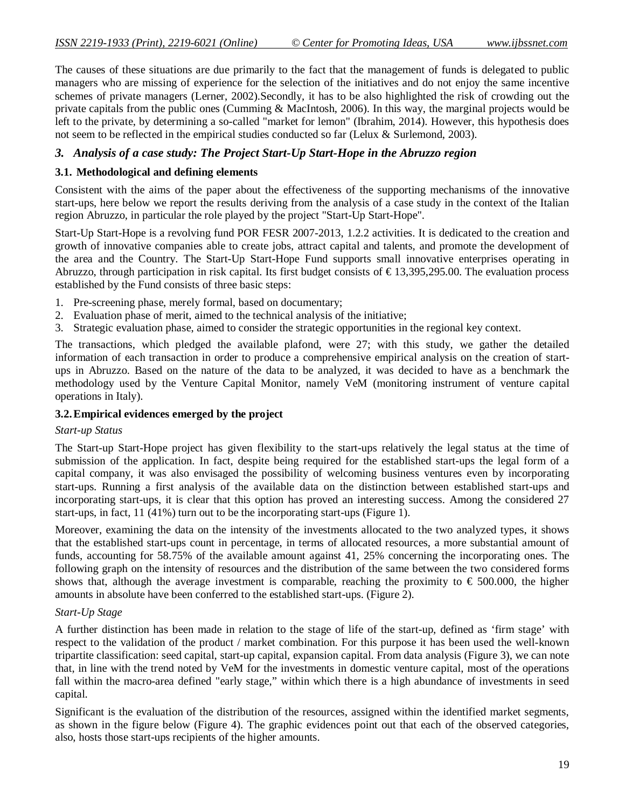The causes of these situations are due primarily to the fact that the management of funds is delegated to public managers who are missing of experience for the selection of the initiatives and do not enjoy the same incentive schemes of private managers (Lerner, 2002).Secondly, it has to be also highlighted the risk of crowding out the private capitals from the public ones (Cumming & MacIntosh, 2006). In this way, the marginal projects would be left to the private, by determining a so-called "market for lemon" (Ibrahim, 2014). However, this hypothesis does not seem to be reflected in the empirical studies conducted so far (Lelux & Surlemond, 2003).

## *3. Analysis of a case study: The Project Start-Up Start-Hope in the Abruzzo region*

#### **3.1. Methodological and defining elements**

Consistent with the aims of the paper about the effectiveness of the supporting mechanisms of the innovative start-ups, here below we report the results deriving from the analysis of a case study in the context of the Italian region Abruzzo, in particular the role played by the project "Start-Up Start-Hope".

Start-Up Start-Hope is a revolving fund POR FESR 2007-2013, 1.2.2 activities. It is dedicated to the creation and growth of innovative companies able to create jobs, attract capital and talents, and promote the development of the area and the Country. The Start-Up Start-Hope Fund supports small innovative enterprises operating in Abruzzo, through participation in risk capital. Its first budget consists of  $\epsilon$ 13,395,295.00. The evaluation process established by the Fund consists of three basic steps:

- 1. Pre-screening phase, merely formal, based on documentary;
- 2. Evaluation phase of merit, aimed to the technical analysis of the initiative;
- 3. Strategic evaluation phase, aimed to consider the strategic opportunities in the regional key context.

The transactions, which pledged the available plafond, were 27; with this study, we gather the detailed information of each transaction in order to produce a comprehensive empirical analysis on the creation of startups in Abruzzo. Based on the nature of the data to be analyzed, it was decided to have as a benchmark the methodology used by the Venture Capital Monitor, namely VeM (monitoring instrument of venture capital operations in Italy).

#### **3.2.Empirical evidences emerged by the project**

#### *Start-up Status*

The Start-up Start-Hope project has given flexibility to the start-ups relatively the legal status at the time of submission of the application. In fact, despite being required for the established start-ups the legal form of a capital company, it was also envisaged the possibility of welcoming business ventures even by incorporating start-ups. Running a first analysis of the available data on the distinction between established start-ups and incorporating start-ups, it is clear that this option has proved an interesting success. Among the considered 27 start-ups, in fact, 11 (41%) turn out to be the incorporating start-ups (Figure 1).

Moreover, examining the data on the intensity of the investments allocated to the two analyzed types, it shows that the established start-ups count in percentage, in terms of allocated resources, a more substantial amount of funds, accounting for 58.75% of the available amount against 41, 25% concerning the incorporating ones. The following graph on the intensity of resources and the distribution of the same between the two considered forms shows that, although the average investment is comparable, reaching the proximity to  $\epsilon$  500.000, the higher amounts in absolute have been conferred to the established start-ups. (Figure 2).

#### *Start-Up Stage*

A further distinction has been made in relation to the stage of life of the start-up, defined as 'firm stage' with respect to the validation of the product / market combination. For this purpose it has been used the well-known tripartite classification: seed capital, start-up capital, expansion capital. From data analysis (Figure 3), we can note that, in line with the trend noted by VeM for the investments in domestic venture capital, most of the operations fall within the macro-area defined "early stage," within which there is a high abundance of investments in seed capital.

Significant is the evaluation of the distribution of the resources, assigned within the identified market segments, as shown in the figure below (Figure 4). The graphic evidences point out that each of the observed categories, also, hosts those start-ups recipients of the higher amounts.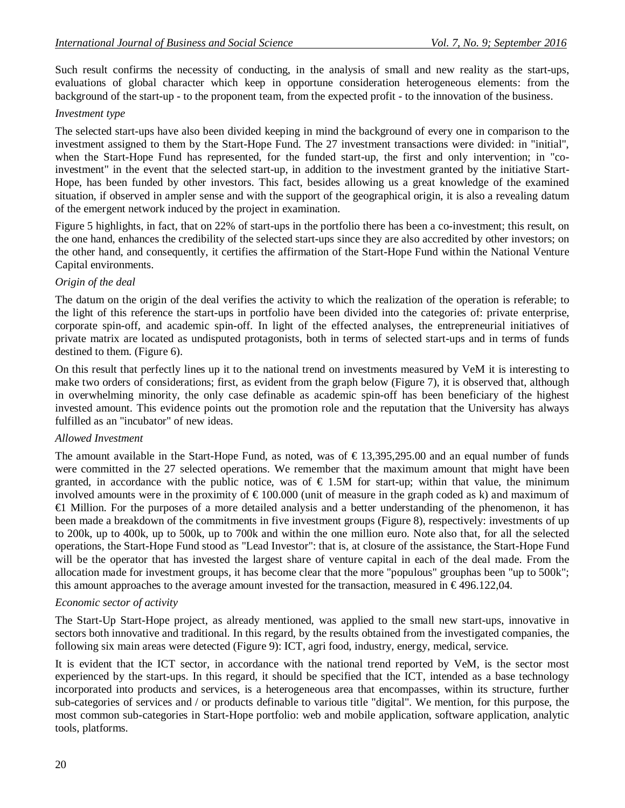Such result confirms the necessity of conducting, in the analysis of small and new reality as the start-ups, evaluations of global character which keep in opportune consideration heterogeneous elements: from the background of the start-up - to the proponent team, from the expected profit - to the innovation of the business.

#### *Investment type*

The selected start-ups have also been divided keeping in mind the background of every one in comparison to the investment assigned to them by the Start-Hope Fund. The 27 investment transactions were divided: in "initial", when the Start-Hope Fund has represented, for the funded start-up, the first and only intervention; in "coinvestment" in the event that the selected start-up, in addition to the investment granted by the initiative Start-Hope, has been funded by other investors. This fact, besides allowing us a great knowledge of the examined situation, if observed in ampler sense and with the support of the geographical origin, it is also a revealing datum of the emergent network induced by the project in examination.

Figure 5 highlights, in fact, that on 22% of start-ups in the portfolio there has been a co-investment; this result, on the one hand, enhances the credibility of the selected start-ups since they are also accredited by other investors; on the other hand, and consequently, it certifies the affirmation of the Start-Hope Fund within the National Venture Capital environments.

#### *Origin of the deal*

The datum on the origin of the deal verifies the activity to which the realization of the operation is referable; to the light of this reference the start-ups in portfolio have been divided into the categories of: private enterprise, corporate spin-off, and academic spin-off. In light of the effected analyses, the entrepreneurial initiatives of private matrix are located as undisputed protagonists, both in terms of selected start-ups and in terms of funds destined to them. (Figure 6).

On this result that perfectly lines up it to the national trend on investments measured by VeM it is interesting to make two orders of considerations; first, as evident from the graph below (Figure 7), it is observed that, although in overwhelming minority, the only case definable as academic spin-off has been beneficiary of the highest invested amount. This evidence points out the promotion role and the reputation that the University has always fulfilled as an "incubator" of new ideas.

#### *Allowed Investment*

The amount available in the Start-Hope Fund, as noted, was of  $\epsilon$  13,395,295.00 and an equal number of funds were committed in the 27 selected operations. We remember that the maximum amount that might have been granted, in accordance with the public notice, was of  $\epsilon$  1.5M for start-up; within that value, the minimum involved amounts were in the proximity of  $\epsilon$  100.000 (unit of measure in the graph coded as k) and maximum of €1 Million. For the purposes of a more detailed analysis and a better understanding of the phenomenon, it has been made a breakdown of the commitments in five investment groups (Figure 8), respectively: investments of up to 200k, up to 400k, up to 500k, up to 700k and within the one million euro. Note also that, for all the selected operations, the Start-Hope Fund stood as "Lead Investor": that is, at closure of the assistance, the Start-Hope Fund will be the operator that has invested the largest share of venture capital in each of the deal made. From the allocation made for investment groups, it has become clear that the more "populous" grouphas been "up to 500k"; this amount approaches to the average amount invested for the transaction, measured in  $\epsilon$ 496.122,04.

#### *Economic sector of activity*

The Start-Up Start-Hope project, as already mentioned, was applied to the small new start-ups, innovative in sectors both innovative and traditional. In this regard, by the results obtained from the investigated companies, the following six main areas were detected (Figure 9): ICT, agri food, industry, energy, medical, service.

It is evident that the ICT sector, in accordance with the national trend reported by VeM, is the sector most experienced by the start-ups. In this regard, it should be specified that the ICT, intended as a base technology incorporated into products and services, is a heterogeneous area that encompasses, within its structure, further sub-categories of services and / or products definable to various title "digital". We mention, for this purpose, the most common sub-categories in Start-Hope portfolio: web and mobile application, software application, analytic tools, platforms.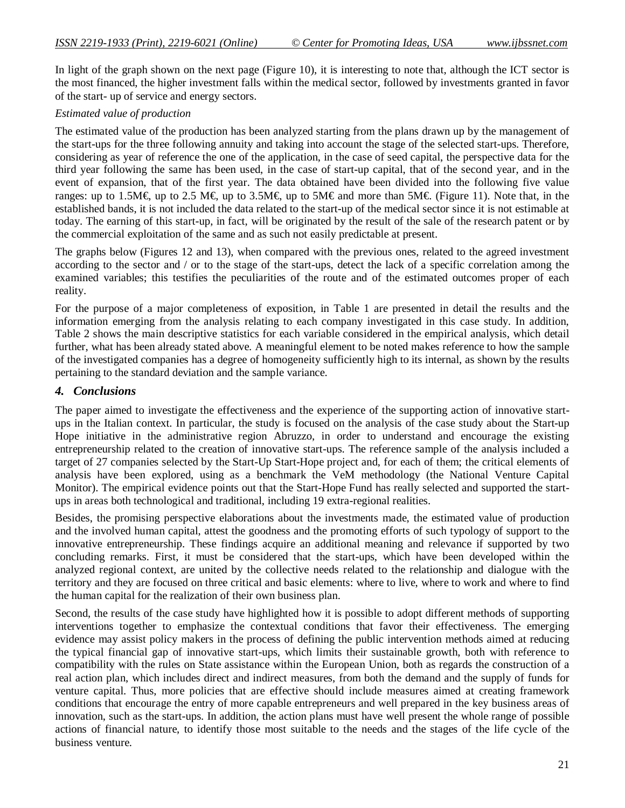In light of the graph shown on the next page (Figure 10), it is interesting to note that, although the ICT sector is the most financed, the higher investment falls within the medical sector, followed by investments granted in favor of the start- up of service and energy sectors.

#### *Estimated value of production*

The estimated value of the production has been analyzed starting from the plans drawn up by the management of the start-ups for the three following annuity and taking into account the stage of the selected start-ups. Therefore, considering as year of reference the one of the application, in the case of seed capital, the perspective data for the third year following the same has been used, in the case of start-up capital, that of the second year, and in the event of expansion, that of the first year. The data obtained have been divided into the following five value ranges: up to 1.5M€, up to 2.5 M€, up to 3.5M€, up to 5M€ and more than 5M€. (Figure 11). Note that, in the established bands, it is not included the data related to the start-up of the medical sector since it is not estimable at today. The earning of this start-up, in fact, will be originated by the result of the sale of the research patent or by the commercial exploitation of the same and as such not easily predictable at present.

The graphs below (Figures 12 and 13), when compared with the previous ones, related to the agreed investment according to the sector and / or to the stage of the start-ups, detect the lack of a specific correlation among the examined variables; this testifies the peculiarities of the route and of the estimated outcomes proper of each reality.

For the purpose of a major completeness of exposition, in Table 1 are presented in detail the results and the information emerging from the analysis relating to each company investigated in this case study. In addition, Table 2 shows the main descriptive statistics for each variable considered in the empirical analysis, which detail further, what has been already stated above. A meaningful element to be noted makes reference to how the sample of the investigated companies has a degree of homogeneity sufficiently high to its internal, as shown by the results pertaining to the standard deviation and the sample variance.

## *4. Conclusions*

The paper aimed to investigate the effectiveness and the experience of the supporting action of innovative startups in the Italian context. In particular, the study is focused on the analysis of the case study about the Start-up Hope initiative in the administrative region Abruzzo, in order to understand and encourage the existing entrepreneurship related to the creation of innovative start-ups. The reference sample of the analysis included a target of 27 companies selected by the Start-Up Start-Hope project and, for each of them; the critical elements of analysis have been explored, using as a benchmark the VeM methodology (the National Venture Capital Monitor). The empirical evidence points out that the Start-Hope Fund has really selected and supported the startups in areas both technological and traditional, including 19 extra-regional realities.

Besides, the promising perspective elaborations about the investments made, the estimated value of production and the involved human capital, attest the goodness and the promoting efforts of such typology of support to the innovative entrepreneurship. These findings acquire an additional meaning and relevance if supported by two concluding remarks. First, it must be considered that the start-ups, which have been developed within the analyzed regional context, are united by the collective needs related to the relationship and dialogue with the territory and they are focused on three critical and basic elements: where to live, where to work and where to find the human capital for the realization of their own business plan.

Second, the results of the case study have highlighted how it is possible to adopt different methods of supporting interventions together to emphasize the contextual conditions that favor their effectiveness. The emerging evidence may assist policy makers in the process of defining the public intervention methods aimed at reducing the typical financial gap of innovative start-ups, which limits their sustainable growth, both with reference to compatibility with the rules on State assistance within the European Union, both as regards the construction of a real action plan, which includes direct and indirect measures, from both the demand and the supply of funds for venture capital. Thus, more policies that are effective should include measures aimed at creating framework conditions that encourage the entry of more capable entrepreneurs and well prepared in the key business areas of innovation, such as the start-ups. In addition, the action plans must have well present the whole range of possible actions of financial nature, to identify those most suitable to the needs and the stages of the life cycle of the business venture.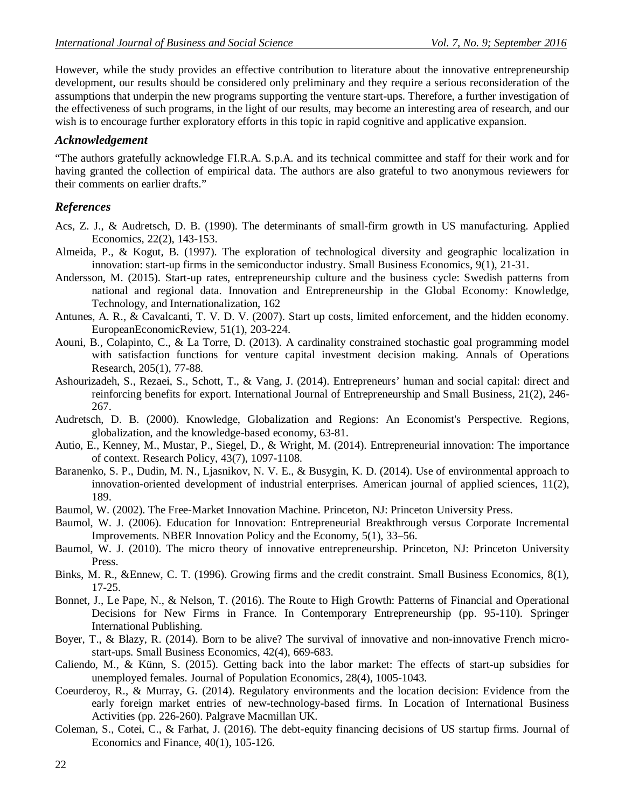However, while the study provides an effective contribution to literature about the innovative entrepreneurship development, our results should be considered only preliminary and they require a serious reconsideration of the assumptions that underpin the new programs supporting the venture start-ups. Therefore, a further investigation of the effectiveness of such programs, in the light of our results, may become an interesting area of research, and our wish is to encourage further exploratory efforts in this topic in rapid cognitive and applicative expansion.

## *Acknowledgement*

"The authors gratefully acknowledge FI.R.A. S.p.A. and its technical committee and staff for their work and for having granted the collection of empirical data. The authors are also grateful to two anonymous reviewers for their comments on earlier drafts."

## *References*

- Acs, Z. J., & Audretsch, D. B. (1990). The determinants of small-firm growth in US manufacturing. Applied Economics, 22(2), 143-153.
- Almeida, P., & Kogut, B. (1997). The exploration of technological diversity and geographic localization in innovation: start-up firms in the semiconductor industry. Small Business Economics, 9(1), 21-31.
- Andersson, M. (2015). Start-up rates, entrepreneurship culture and the business cycle: Swedish patterns from national and regional data. Innovation and Entrepreneurship in the Global Economy: Knowledge, Technology, and Internationalization, 162
- Antunes, A. R., & Cavalcanti, T. V. D. V. (2007). Start up costs, limited enforcement, and the hidden economy. EuropeanEconomicReview, 51(1), 203-224.
- Aouni, B., Colapinto, C., & La Torre, D. (2013). A cardinality constrained stochastic goal programming model with satisfaction functions for venture capital investment decision making. Annals of Operations Research, 205(1), 77-88.
- Ashourizadeh, S., Rezaei, S., Schott, T., & Vang, J. (2014). Entrepreneurs' human and social capital: direct and reinforcing benefits for export. International Journal of Entrepreneurship and Small Business, 21(2), 246- 267.
- Audretsch, D. B. (2000). Knowledge, Globalization and Regions: An Economist's Perspective. Regions, globalization, and the knowledge-based economy, 63-81.
- Autio, E., Kenney, M., Mustar, P., Siegel, D., & Wright, M. (2014). Entrepreneurial innovation: The importance of context. Research Policy, 43(7), 1097-1108.
- Baranenko, S. P., Dudin, M. N., Ljasnikov, N. V. E., & Busygin, K. D. (2014). Use of environmental approach to innovation-oriented development of industrial enterprises. American journal of applied sciences, 11(2), 189.
- Baumol, W. (2002). The Free-Market Innovation Machine. Princeton, NJ: Princeton University Press.
- Baumol, W. J. (2006). Education for Innovation: Entrepreneurial Breakthrough versus Corporate Incremental Improvements. NBER Innovation Policy and the Economy, 5(1), 33–56.
- Baumol, W. J. (2010). The micro theory of innovative entrepreneurship. Princeton, NJ: Princeton University Press.
- Binks, M. R., &Ennew, C. T. (1996). Growing firms and the credit constraint. Small Business Economics, 8(1), 17-25.
- Bonnet, J., Le Pape, N., & Nelson, T. (2016). The Route to High Growth: Patterns of Financial and Operational Decisions for New Firms in France. In Contemporary Entrepreneurship (pp. 95-110). Springer International Publishing.
- Boyer, T., & Blazy, R. (2014). Born to be alive? The survival of innovative and non-innovative French microstart-ups. Small Business Economics, 42(4), 669-683.
- Caliendo, M., & Künn, S. (2015). Getting back into the labor market: The effects of start-up subsidies for unemployed females. Journal of Population Economics, 28(4), 1005-1043.
- Coeurderoy, R., & Murray, G. (2014). Regulatory environments and the location decision: Evidence from the early foreign market entries of new-technology-based firms. In Location of International Business Activities (pp. 226-260). Palgrave Macmillan UK.
- Coleman, S., Cotei, C., & Farhat, J. (2016). The debt-equity financing decisions of US startup firms. Journal of Economics and Finance, 40(1), 105-126.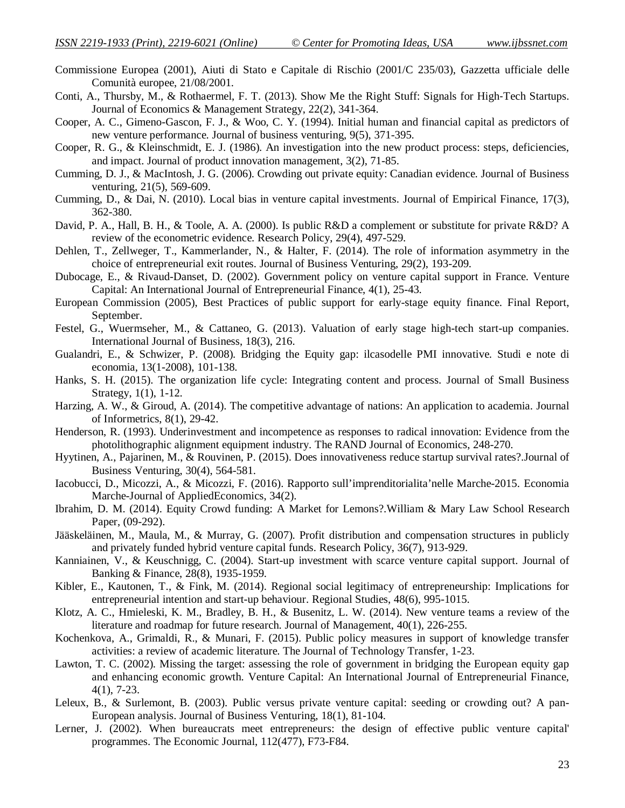- Commissione Europea (2001), Aiuti di Stato e Capitale di Rischio (2001/C 235/03), Gazzetta ufficiale delle Comunità europee, 21/08/2001.
- Conti, A., Thursby, M., & Rothaermel, F. T. (2013). Show Me the Right Stuff: Signals for High‐Tech Startups. Journal of Economics & Management Strategy, 22(2), 341-364.
- Cooper, A. C., Gimeno-Gascon, F. J., & Woo, C. Y. (1994). Initial human and financial capital as predictors of new venture performance. Journal of business venturing, 9(5), 371-395.
- Cooper, R. G., & Kleinschmidt, E. J. (1986). An investigation into the new product process: steps, deficiencies, and impact. Journal of product innovation management, 3(2), 71-85.
- Cumming, D. J., & MacIntosh, J. G. (2006). Crowding out private equity: Canadian evidence. Journal of Business venturing, 21(5), 569-609.
- Cumming, D., & Dai, N. (2010). Local bias in venture capital investments. Journal of Empirical Finance, 17(3), 362-380.
- David, P. A., Hall, B. H., & Toole, A. A. (2000). Is public R&D a complement or substitute for private R&D? A review of the econometric evidence. Research Policy, 29(4), 497-529.
- Dehlen, T., Zellweger, T., Kammerlander, N., & Halter, F. (2014). The role of information asymmetry in the choice of entrepreneurial exit routes. Journal of Business Venturing, 29(2), 193-209.
- Dubocage, E., & Rivaud-Danset, D. (2002). Government policy on venture capital support in France. Venture Capital: An International Journal of Entrepreneurial Finance, 4(1), 25-43.
- European Commission (2005), Best Practices of public support for early-stage equity finance. Final Report, September.
- Festel, G., Wuermseher, M., & Cattaneo, G. (2013). Valuation of early stage high-tech start-up companies. International Journal of Business, 18(3), 216.
- Gualandri, E., & Schwizer, P. (2008). Bridging the Equity gap: ilcasodelle PMI innovative. Studi e note di economia, 13(1-2008), 101-138.
- Hanks, S. H. (2015). The organization life cycle: Integrating content and process. Journal of Small Business Strategy, 1(1), 1-12.
- Harzing, A. W., & Giroud, A. (2014). The competitive advantage of nations: An application to academia. Journal of Informetrics, 8(1), 29-42.
- Henderson, R. (1993). Underinvestment and incompetence as responses to radical innovation: Evidence from the photolithographic alignment equipment industry. The RAND Journal of Economics, 248-270.
- Hyytinen, A., Pajarinen, M., & Rouvinen, P. (2015). Does innovativeness reduce startup survival rates?.Journal of Business Venturing, 30(4), 564-581.
- Iacobucci, D., Micozzi, A., & Micozzi, F. (2016). Rapporto sull'imprenditorialita'nelle Marche-2015. Economia Marche-Journal of AppliedEconomics, 34(2).
- Ibrahim, D. M. (2014). Equity Crowd funding: A Market for Lemons?.William & Mary Law School Research Paper, (09-292).
- Jääskeläinen, M., Maula, M., & Murray, G. (2007). Profit distribution and compensation structures in publicly and privately funded hybrid venture capital funds. Research Policy, 36(7), 913-929.
- Kanniainen, V., & Keuschnigg, C. (2004). Start-up investment with scarce venture capital support. Journal of Banking & Finance, 28(8), 1935-1959.
- Kibler, E., Kautonen, T., & Fink, M. (2014). Regional social legitimacy of entrepreneurship: Implications for entrepreneurial intention and start-up behaviour. Regional Studies, 48(6), 995-1015.
- Klotz, A. C., Hmieleski, K. M., Bradley, B. H., & Busenitz, L. W. (2014). New venture teams a review of the literature and roadmap for future research. Journal of Management, 40(1), 226-255.
- Kochenkova, A., Grimaldi, R., & Munari, F. (2015). Public policy measures in support of knowledge transfer activities: a review of academic literature. The Journal of Technology Transfer, 1-23.
- Lawton, T. C. (2002). Missing the target: assessing the role of government in bridging the European equity gap and enhancing economic growth. Venture Capital: An International Journal of Entrepreneurial Finance, 4(1), 7-23.
- Leleux, B., & Surlemont, B. (2003). Public versus private venture capital: seeding or crowding out? A pan-European analysis. Journal of Business Venturing, 18(1), 81-104.
- Lerner, J. (2002). When bureaucrats meet entrepreneurs: the design of effective public venture capital' programmes. The Economic Journal, 112(477), F73-F84.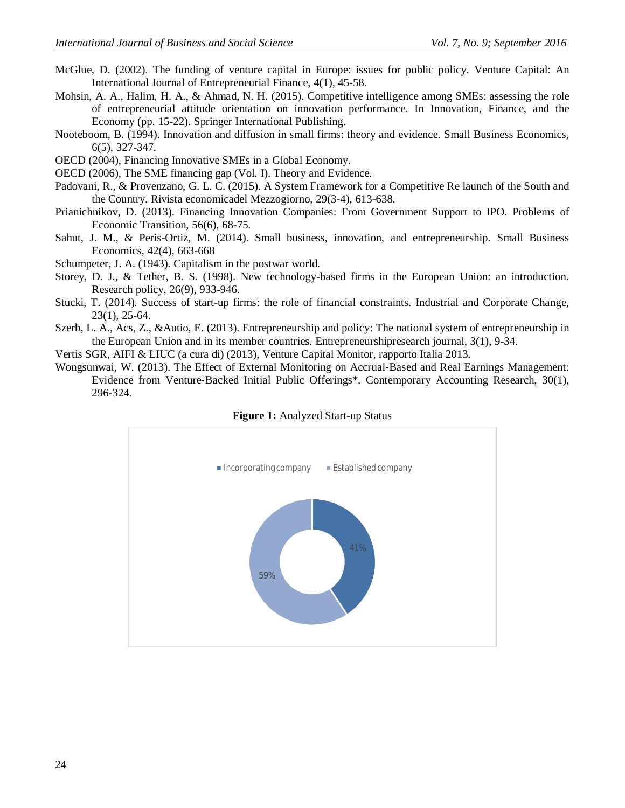- McGlue, D. (2002). The funding of venture capital in Europe: issues for public policy. Venture Capital: An International Journal of Entrepreneurial Finance, 4(1), 45-58.
- Mohsin, A. A., Halim, H. A., & Ahmad, N. H. (2015). Competitive intelligence among SMEs: assessing the role of entrepreneurial attitude orientation on innovation performance. In Innovation, Finance, and the Economy (pp. 15-22). Springer International Publishing.
- Nooteboom, B. (1994). Innovation and diffusion in small firms: theory and evidence. Small Business Economics, 6(5), 327-347.
- OECD (2004), Financing Innovative SMEs in a Global Economy.
- OECD (2006), The SME financing gap (Vol. I). Theory and Evidence.
- Padovani, R., & Provenzano, G. L. C. (2015). A System Framework for a Competitive Re launch of the South and the Country. Rivista economicadel Mezzogiorno, 29(3-4), 613-638.
- Prianichnikov, D. (2013). Financing Innovation Companies: From Government Support to IPO. Problems of Economic Transition, 56(6), 68-75.
- Sahut, J. M., & Peris-Ortiz, M. (2014). Small business, innovation, and entrepreneurship. Small Business Economics, 42(4), 663-668
- Schumpeter, J. A. (1943). Capitalism in the postwar world.
- Storey, D. J., & Tether, B. S. (1998). New technology-based firms in the European Union: an introduction. Research policy, 26(9), 933-946.
- Stucki, T. (2014). Success of start-up firms: the role of financial constraints. Industrial and Corporate Change, 23(1), 25-64.
- Szerb, L. A., Acs, Z., &Autio, E. (2013). Entrepreneurship and policy: The national system of entrepreneurship in the European Union and in its member countries. Entrepreneurshipresearch journal, 3(1), 9-34.
- Vertis SGR, AIFI & LIUC (a cura di) (2013), Venture Capital Monitor, rapporto Italia 2013.
- Wongsunwai, W. (2013). The Effect of External Monitoring on Accrual‐Based and Real Earnings Management: Evidence from Venture‐Backed Initial Public Offerings\*. Contemporary Accounting Research, 30(1), 296-324.



**Figure 1:** Analyzed Start-up Status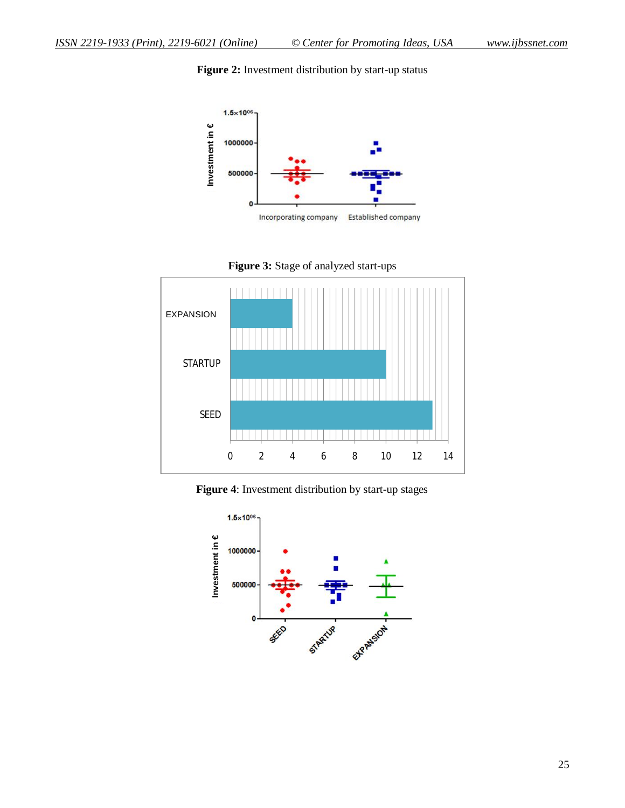Figure 2: Investment distribution by start-up status



**Figure 3:** Stage of analyzed start-ups



**Figure 4**: Investment distribution by start-up stages

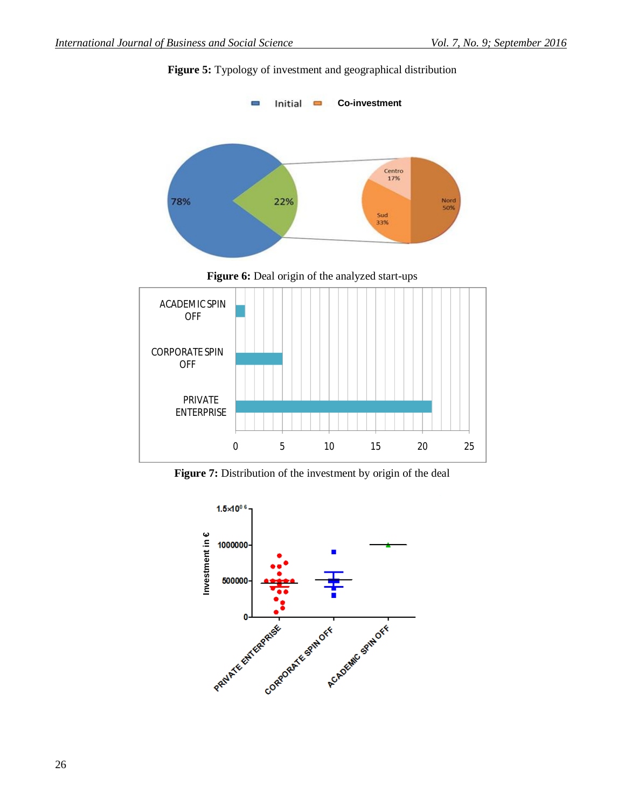

## **Figure 5:** Typology of investment and geographical distribution



Figure 7: Distribution of the investment by origin of the deal

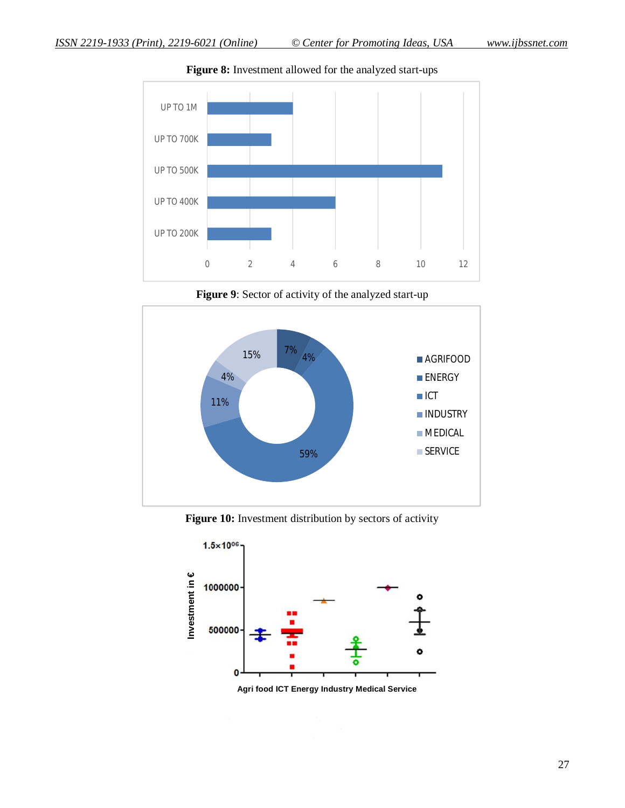

**Figure 8:** Investment allowed for the analyzed start-ups

Figure 9: Sector of activity of the analyzed start-up



Figure 10: Investment distribution by sectors of activity



**Agri food ICT Energy Industry Medical Service**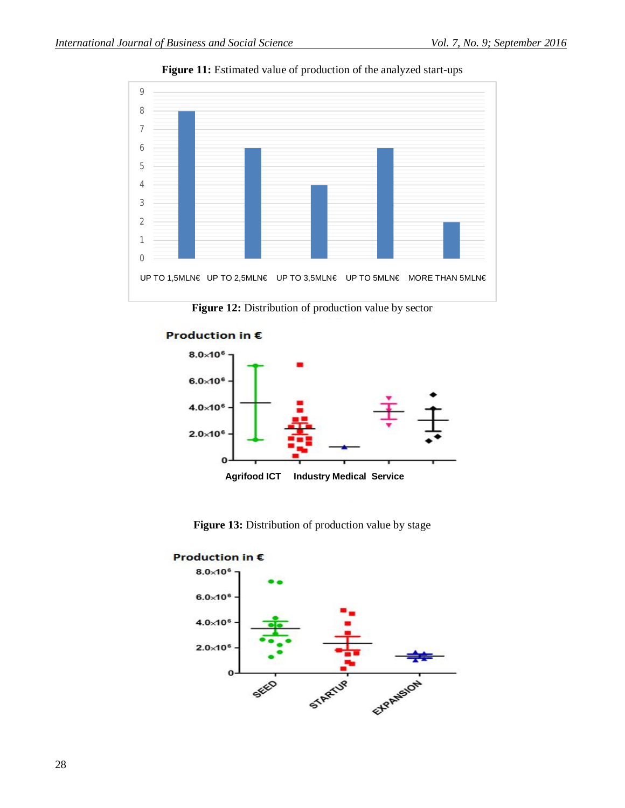

Figure 11: Estimated value of production of the analyzed start-ups

Figure 12: Distribution of production value by sector



Figure 13: Distribution of production value by stage

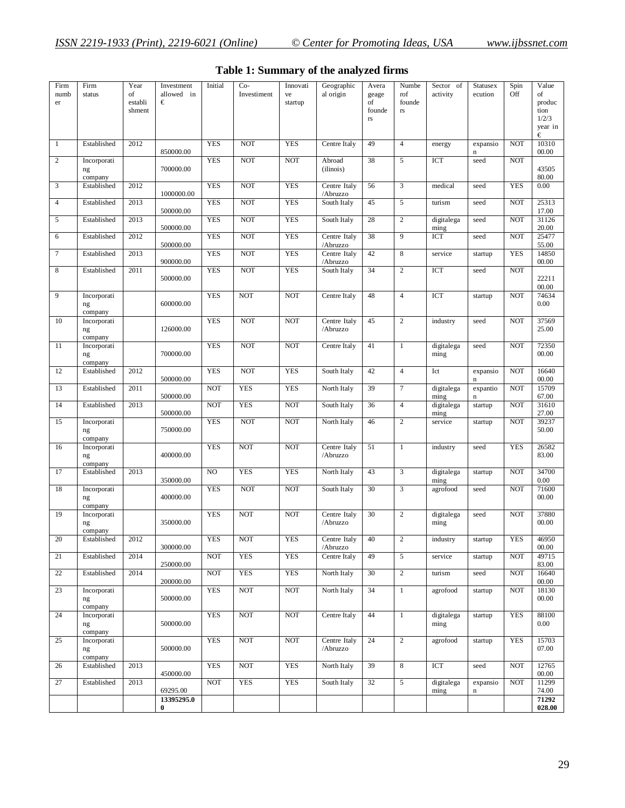| Firm<br>numb<br>er | Firm<br>status               | Year<br>οf<br>establi<br>shment | Investment<br>allowed in<br>€ | Initial    | $Co-$<br>Investiment | Innovati<br>ve<br>startup | Geographic<br>al origin  | Avera<br>geage<br>of<br>founde<br>$\Gamma \mathrm{S}$ | Numbe<br>rof<br>founde<br>rs | Sector of<br>activity | <b>Statusex</b><br>ecution | Spin<br>Off | Value<br>of<br>produc<br>tion<br>1/2/3<br>year in<br>€ |
|--------------------|------------------------------|---------------------------------|-------------------------------|------------|----------------------|---------------------------|--------------------------|-------------------------------------------------------|------------------------------|-----------------------|----------------------------|-------------|--------------------------------------------------------|
| 1                  | Established                  | 2012                            | 850000.00                     | <b>YES</b> | <b>NOT</b>           | <b>YES</b>                | Centre Italy             | 49                                                    | $\overline{4}$               | energy                | expansio<br>$\mathbf n$    | <b>NOT</b>  | 10310<br>00.00                                         |
| 2                  | Incorporati<br>ng<br>company |                                 | 700000.00                     | <b>YES</b> | <b>NOT</b>           | <b>NOT</b>                | Abroad<br>(ilinois)      | 38                                                    | 5                            | ICT                   | seed                       | <b>NOT</b>  | 43505<br>80.00                                         |
| 3                  | Established                  | 2012                            | 1000000.00                    | <b>YES</b> | <b>NOT</b>           | <b>YES</b>                | Centre Italy<br>/Abruzzo | 56                                                    | 3                            | medical               | seed                       | <b>YES</b>  | 0.00                                                   |
| $\overline{4}$     | Established                  | 2013                            | 500000.00                     | <b>YES</b> | <b>NOT</b>           | <b>YES</b>                | South Italy              | 45                                                    | 5                            | turism                | seed                       | <b>NOT</b>  | 25313<br>17.00                                         |
| 5                  | Established                  | 2013                            | 500000.00                     | <b>YES</b> | <b>NOT</b>           | <b>YES</b>                | South Italy              | 28                                                    | $\overline{c}$               | digitalega<br>ming    | seed                       | <b>NOT</b>  | 31126<br>20.00                                         |
| 6                  | Established                  | 2012                            | 500000.00                     | <b>YES</b> | <b>NOT</b>           | <b>YES</b>                | Centre Italy<br>/Abruzzo | 38                                                    | 9                            | ICT                   | seed                       | <b>NOT</b>  | 25477<br>55.00                                         |
| $\boldsymbol{7}$   | Established                  | 2013                            | 900000.00                     | <b>YES</b> | <b>NOT</b>           | <b>YES</b>                | Centre Italy<br>/Abruzzo | 42                                                    | 8                            | service               | startup                    | <b>YES</b>  | 14850<br>00.00                                         |
| 8                  | Established                  | 2011                            | 500000.00                     | <b>YES</b> | <b>NOT</b>           | <b>YES</b>                | South Italy              | 34                                                    | $\overline{c}$               | <b>ICT</b>            | seed                       | <b>NOT</b>  | 22211<br>00.00                                         |
| 9                  | Incorporati<br>ng<br>company |                                 | 600000.00                     | <b>YES</b> | <b>NOT</b>           | <b>NOT</b>                | Centre Italy             | 48                                                    | $\overline{4}$               | ICT                   | startup                    | <b>NOT</b>  | 74634<br>0.00                                          |
| 10                 | Incorporati<br>ng<br>company |                                 | 126000.00                     | <b>YES</b> | <b>NOT</b>           | <b>NOT</b>                | Centre Italy<br>/Abruzzo | 45                                                    | $\overline{c}$               | industry              | seed                       | <b>NOT</b>  | 37569<br>25.00                                         |
| 11                 | Incorporati<br>ng<br>company |                                 | 700000.00                     | <b>YES</b> | <b>NOT</b>           | <b>NOT</b>                | Centre Italy             | 41                                                    | $\mathbf{1}$                 | digitalega<br>ming    | seed                       | <b>NOT</b>  | 72350<br>00.00                                         |
| 12                 | Established                  | 2012                            | 500000.00                     | <b>YES</b> | <b>NOT</b>           | <b>YES</b>                | South Italy              | 42                                                    | $\overline{4}$               | Ict                   | expansio<br>$\mathbf n$    | <b>NOT</b>  | 16640<br>00.00                                         |
| 13                 | Established                  | 2011                            | 500000.00                     | <b>NOT</b> | <b>YES</b>           | <b>YES</b>                | North Italy              | 39                                                    | $\overline{7}$               | digitalega<br>ming    | expantio<br>$\bf n$        | <b>NOT</b>  | 15709<br>67.00                                         |
| 14                 | Established                  | 2013                            | 500000.00                     | <b>NOT</b> | <b>YES</b>           | <b>NOT</b>                | South Italy              | 36                                                    | $\overline{4}$               | digitalega<br>ming    | startup                    | <b>NOT</b>  | 31610<br>27.00                                         |
| 15                 | Incorporati<br>ng<br>company |                                 | 750000.00                     | <b>YES</b> | <b>NOT</b>           | <b>NOT</b>                | North Italy              | 46                                                    | $\sqrt{2}$                   | service               | startup                    | <b>NOT</b>  | 39237<br>50.00                                         |
| 16                 | Incorporati<br>ng<br>company |                                 | 400000.00                     | <b>YES</b> | <b>NOT</b>           | <b>NOT</b>                | Centre Italy<br>/Abruzzo | 51                                                    | 1                            | industry              | seed                       | <b>YES</b>  | 26582<br>83.00                                         |
| 17                 | Established                  | 2013                            | 350000.00                     | NO         | <b>YES</b>           | <b>YES</b>                | North Italy              | 43                                                    | 3                            | digitalega<br>ming    | startup                    | <b>NOT</b>  | 34700<br>0.00                                          |
| 18                 | Incorporati<br>ng<br>company |                                 | 400000.00                     | <b>YES</b> | <b>NOT</b>           | <b>NOT</b>                | South Italy              | 30                                                    | 3                            | agrofood              | seed                       | <b>NOT</b>  | 71600<br>00.00                                         |
| 19                 | Incorporati<br>ng<br>company |                                 | 350000.00                     | <b>YES</b> | <b>NOT</b>           | <b>NOT</b>                | Centre Italy<br>/Abruzzo | 30                                                    | $\overline{c}$               | digitalega<br>ming    | seed                       | <b>NOT</b>  | 37880<br>00.00                                         |
| 20                 | Established                  | 2012                            | 300000.00                     | YES        | <b>NOT</b>           | YES                       | Centre Italy<br>/Abruzzo | 40                                                    | 2                            | industry              | startup                    | YES         | 46950<br>00.00                                         |
| 21                 | Established                  | 2014                            | 250000.00                     | <b>NOT</b> | <b>YES</b>           | <b>YES</b>                | Centre Italy             | 49                                                    | $\overline{5}$               | service               | startup                    | <b>NOT</b>  | 49715<br>83.00                                         |
| 22                 | Established                  | 2014                            | 200000.00                     | NOT        | <b>YES</b>           | <b>YES</b>                | North Italy              | 30                                                    | $\overline{c}$               | turism                | seed                       | <b>NOT</b>  | 16640<br>00.00                                         |
| 23                 | Incorporati<br>ng<br>company |                                 | 500000.00                     | <b>YES</b> | <b>NOT</b>           | <b>NOT</b>                | North Italy              | 34                                                    | $\mathbf{1}$                 | agrofood              | startup                    | <b>NOT</b>  | 18130<br>00.00                                         |
| 24                 | Incorporati<br>ng<br>company |                                 | 500000.00                     | <b>YES</b> | NOT                  | <b>NOT</b>                | Centre Italy             | 44                                                    | $\mathbf{1}$                 | digitalega<br>ming    | startup                    | <b>YES</b>  | 88100<br>0.00                                          |
| 25                 | Incorporati<br>ng<br>company |                                 | 500000.00                     | <b>YES</b> | <b>NOT</b>           | <b>NOT</b>                | Centre Italy<br>/Abruzzo | 24                                                    | $\overline{c}$               | agrofood              | startup                    | <b>YES</b>  | 15703<br>07.00                                         |
| 26                 | Established                  | 2013                            | 450000.00                     | <b>YES</b> | <b>NOT</b>           | <b>YES</b>                | North Italy              | 39                                                    | 8                            | ICT                   | seed                       | <b>NOT</b>  | 12765<br>00.00                                         |
| 27                 | Established                  | 2013                            | 69295.00                      | <b>NOT</b> | <b>YES</b>           | <b>YES</b>                | South Italy              | 32                                                    | $5^{\circ}$                  | digitalega<br>ming    | expansio<br>$\mathbf n$    | <b>NOT</b>  | 11299<br>74.00                                         |
|                    |                              |                                 | 13395295.0<br>$\bf{0}$        |            |                      |                           |                          |                                                       |                              |                       |                            |             | 71292<br>028.00                                        |

## **Table 1: Summary of the analyzed firms**